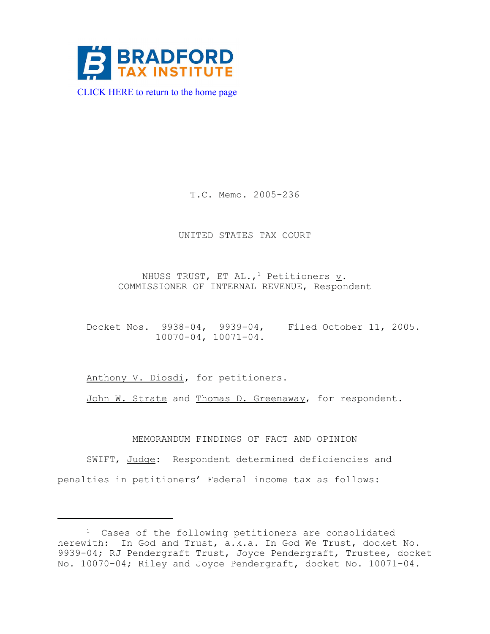

[CLICK HERE to return to the home page](http://www.bradfordtaxinstitute.com/) 

T.C. Memo. 2005-236

UNITED STATES TAX COURT

NHUSS TRUST, ET AL.,<sup>1</sup> Petitioners  $\underline{v}$ . COMMISSIONER OF INTERNAL REVENUE, Respondent

Docket Nos. 9938-04, 9939-04, Filed October 11, 2005. 10070-04, 10071-04.

Anthony V. Diosdi, for petitioners.

John W. Strate and Thomas D. Greenaway, for respondent.

MEMORANDUM FINDINGS OF FACT AND OPINION

SWIFT, Judge: Respondent determined deficiencies and penalties in petitioners' Federal income tax as follows:

<sup>&</sup>lt;sup>1</sup> Cases of the following petitioners are consolidated herewith: In God and Trust, a.k.a. In God We Trust, docket No. 9939-04; RJ Pendergraft Trust, Joyce Pendergraft, Trustee, docket No. 10070-04; Riley and Joyce Pendergraft, docket No. 10071-04.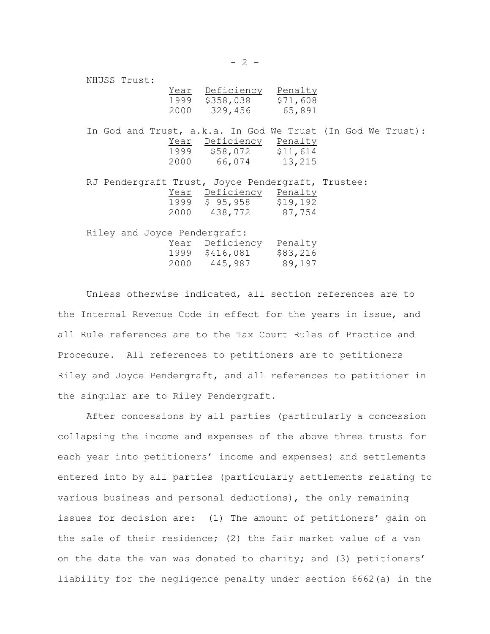| NHUSS Trust:                                                |                                                                           |  |  |
|-------------------------------------------------------------|---------------------------------------------------------------------------|--|--|
|                                                             | Year Deficiency Penalty<br>1999 \$358,038 \$71,608<br>2000 329,456 65,891 |  |  |
| In God and Trust, a.k.a. In God We Trust (In God We Trust): | Year Deficiency Penalty<br>1999 \$58,072 \$11,614<br>2000 66,074 13,215   |  |  |
| RJ Pendergraft Trust, Joyce Pendergraft, Trustee:           | Year Deficiency Penalty<br>1999 \$95,958 \$19,192<br>2000 438,772 87,754  |  |  |
| Riley and Joyce Pendergraft:                                | Year Deficiency Penalty<br>1999 \$416,081 \$83,216<br>2000 445,987 89,197 |  |  |

Unless otherwise indicated, all section references are to the Internal Revenue Code in effect for the years in issue, and all Rule references are to the Tax Court Rules of Practice and Procedure. All references to petitioners are to petitioners Riley and Joyce Pendergraft, and all references to petitioner in the singular are to Riley Pendergraft.

After concessions by all parties (particularly a concession collapsing the income and expenses of the above three trusts for each year into petitioners' income and expenses) and settlements entered into by all parties (particularly settlements relating to various business and personal deductions), the only remaining issues for decision are: (1) The amount of petitioners' gain on the sale of their residence; (2) the fair market value of a van on the date the van was donated to charity; and (3) petitioners' liability for the negligence penalty under section 6662(a) in the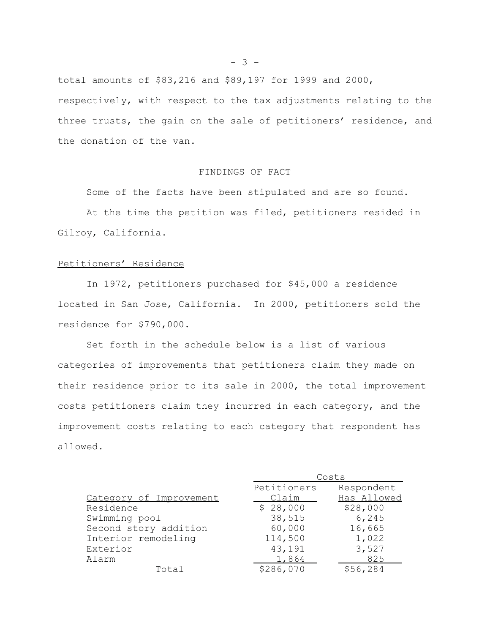$- 3 -$ 

total amounts of \$83,216 and \$89,197 for 1999 and 2000, respectively, with respect to the tax adjustments relating to the three trusts, the gain on the sale of petitioners' residence, and the donation of the van.

### FINDINGS OF FACT

Some of the facts have been stipulated and are so found.

At the time the petition was filed, petitioners resided in Gilroy, California.

## Petitioners' Residence

In 1972, petitioners purchased for \$45,000 a residence located in San Jose, California. In 2000, petitioners sold the residence for \$790,000.

Set forth in the schedule below is a list of various categories of improvements that petitioners claim they made on their residence prior to its sale in 2000, the total improvement costs petitioners claim they incurred in each category, and the improvement costs relating to each category that respondent has allowed.

|                         | Costs       |             |  |
|-------------------------|-------------|-------------|--|
|                         | Petitioners | Respondent  |  |
| Category of Improvement | Claim       | Has Allowed |  |
| Residence               | \$28,000    | \$28,000    |  |
| Swimming pool           | 38,515      | 6,245       |  |
| Second story addition   | 60,000      | 16,665      |  |
| Interior remodeling     | 114,500     | 1,022       |  |
| Exterior                | 43,191      | 3,527       |  |
| Alarm                   | 1,864       | 825         |  |
| Total                   | \$286,070   | \$56,284    |  |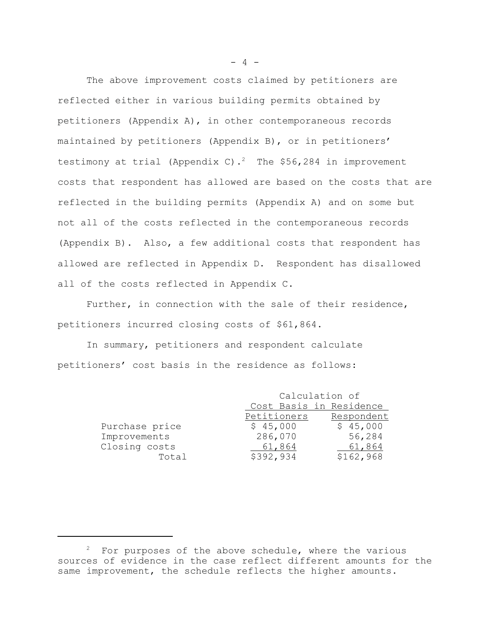The above improvement costs claimed by petitioners are reflected either in various building permits obtained by petitioners (Appendix A), in other contemporaneous records maintained by petitioners (Appendix B), or in petitioners' testimony at trial (Appendix C).<sup>2</sup> The \$56,284 in improvement costs that respondent has allowed are based on the costs that are reflected in the building permits (Appendix A) and on some but not all of the costs reflected in the contemporaneous records (Appendix B). Also, a few additional costs that respondent has allowed are reflected in Appendix D. Respondent has disallowed all of the costs reflected in Appendix C.

Further, in connection with the sale of their residence, petitioners incurred closing costs of \$61,864.

In summary, petitioners and respondent calculate petitioners' cost basis in the residence as follows:

|                | Calculation of          |            |
|----------------|-------------------------|------------|
|                | Cost Basis in Residence |            |
|                | Petitioners             | Respondent |
| Purchase price | \$45,000                | \$45,000   |
| Improvements   | 286,070                 | 56,284     |
| Closing costs  | 61,864                  | 61,864     |
| Total          | \$392,934               | \$162,968  |

 $- 4 -$ 

 $2$  For purposes of the above schedule, where the various sources of evidence in the case reflect different amounts for the same improvement, the schedule reflects the higher amounts.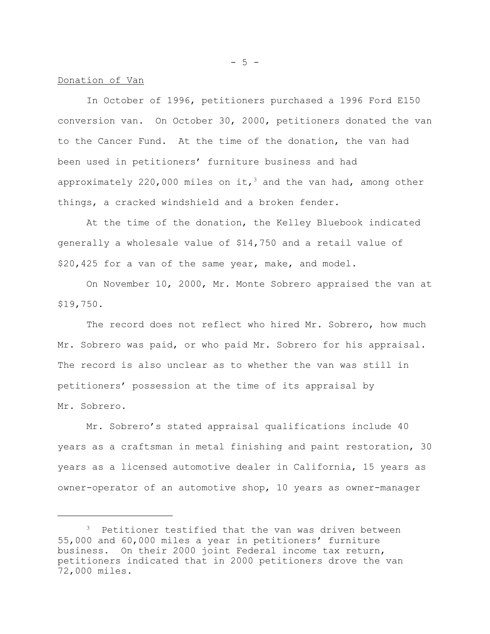#### Donation of Van

In October of 1996, petitioners purchased a 1996 Ford E150 conversion van. On October 30, 2000, petitioners donated the van to the Cancer Fund. At the time of the donation, the van had been used in petitioners' furniture business and had approximately 220,000 miles on it,<sup>3</sup> and the van had, among other things, a cracked windshield and a broken fender.

At the time of the donation, the Kelley Bluebook indicated generally a wholesale value of \$14,750 and a retail value of \$20,425 for a van of the same year, make, and model.

On November 10, 2000, Mr. Monte Sobrero appraised the van at \$19,750.

The record does not reflect who hired Mr. Sobrero, how much Mr. Sobrero was paid, or who paid Mr. Sobrero for his appraisal. The record is also unclear as to whether the van was still in petitioners' possession at the time of its appraisal by Mr. Sobrero.

Mr. Sobrero's stated appraisal qualifications include 40 years as a craftsman in metal finishing and paint restoration, 30 years as a licensed automotive dealer in California, 15 years as owner-operator of an automotive shop, 10 years as owner-manager

 $-5 -$ 

<sup>&</sup>lt;sup>3</sup> Petitioner testified that the van was driven between 55,000 and 60,000 miles a year in petitioners' furniture business. On their 2000 joint Federal income tax return, petitioners indicated that in 2000 petitioners drove the van 72,000 miles.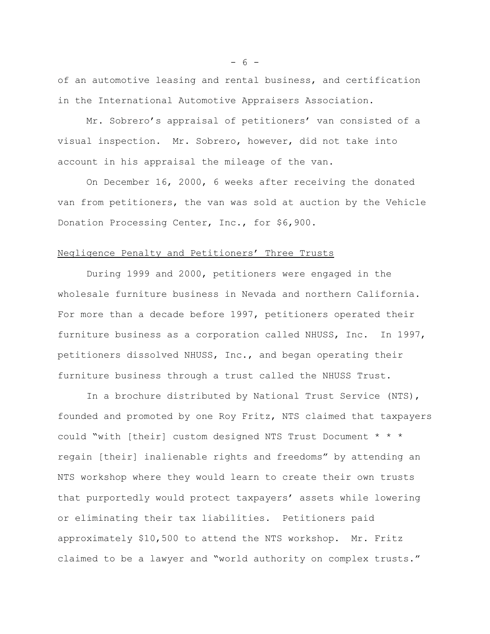of an automotive leasing and rental business, and certification in the International Automotive Appraisers Association.

Mr. Sobrero's appraisal of petitioners' van consisted of a visual inspection. Mr. Sobrero, however, did not take into account in his appraisal the mileage of the van.

On December 16, 2000, 6 weeks after receiving the donated van from petitioners, the van was sold at auction by the Vehicle Donation Processing Center, Inc., for \$6,900.

#### Negligence Penalty and Petitioners' Three Trusts

During 1999 and 2000, petitioners were engaged in the wholesale furniture business in Nevada and northern California. For more than a decade before 1997, petitioners operated their furniture business as a corporation called NHUSS, Inc. In 1997, petitioners dissolved NHUSS, Inc., and began operating their furniture business through a trust called the NHUSS Trust.

In a brochure distributed by National Trust Service (NTS), founded and promoted by one Roy Fritz, NTS claimed that taxpayers could "with [their] custom designed NTS Trust Document \* \* \* regain [their] inalienable rights and freedoms" by attending an NTS workshop where they would learn to create their own trusts that purportedly would protect taxpayers' assets while lowering or eliminating their tax liabilities. Petitioners paid approximately \$10,500 to attend the NTS workshop. Mr. Fritz claimed to be a lawyer and "world authority on complex trusts."

- 6 -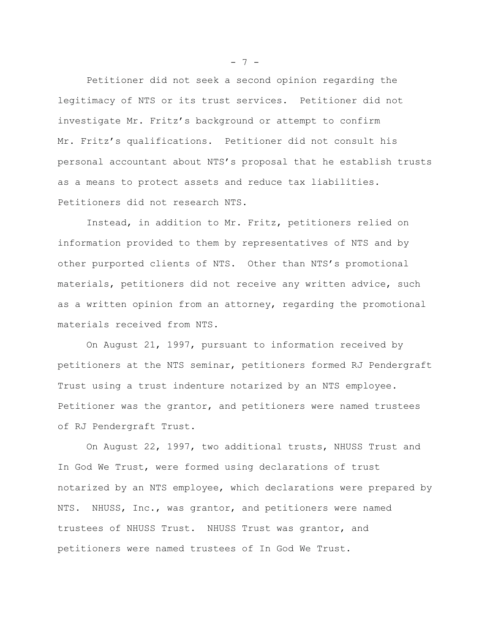Petitioner did not seek a second opinion regarding the legitimacy of NTS or its trust services. Petitioner did not investigate Mr. Fritz's background or attempt to confirm Mr. Fritz's qualifications. Petitioner did not consult his personal accountant about NTS's proposal that he establish trusts as a means to protect assets and reduce tax liabilities. Petitioners did not research NTS.

Instead, in addition to Mr. Fritz, petitioners relied on information provided to them by representatives of NTS and by other purported clients of NTS. Other than NTS's promotional materials, petitioners did not receive any written advice, such as a written opinion from an attorney, regarding the promotional materials received from NTS.

On August 21, 1997, pursuant to information received by petitioners at the NTS seminar, petitioners formed RJ Pendergraft Trust using a trust indenture notarized by an NTS employee. Petitioner was the grantor, and petitioners were named trustees of RJ Pendergraft Trust.

On August 22, 1997, two additional trusts, NHUSS Trust and In God We Trust, were formed using declarations of trust notarized by an NTS employee, which declarations were prepared by NTS. NHUSS, Inc., was grantor, and petitioners were named trustees of NHUSS Trust. NHUSS Trust was grantor, and petitioners were named trustees of In God We Trust.

 $- 7 -$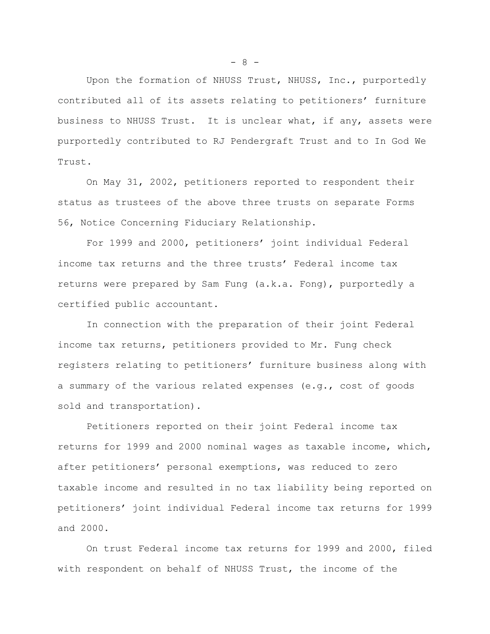Upon the formation of NHUSS Trust, NHUSS, Inc., purportedly contributed all of its assets relating to petitioners' furniture business to NHUSS Trust. It is unclear what, if any, assets were purportedly contributed to RJ Pendergraft Trust and to In God We Trust.

On May 31, 2002, petitioners reported to respondent their status as trustees of the above three trusts on separate Forms 56, Notice Concerning Fiduciary Relationship.

For 1999 and 2000, petitioners' joint individual Federal income tax returns and the three trusts' Federal income tax returns were prepared by Sam Fung (a.k.a. Fong), purportedly a certified public accountant.

In connection with the preparation of their joint Federal income tax returns, petitioners provided to Mr. Fung check registers relating to petitioners' furniture business along with a summary of the various related expenses (e.g., cost of goods sold and transportation).

Petitioners reported on their joint Federal income tax returns for 1999 and 2000 nominal wages as taxable income, which, after petitioners' personal exemptions, was reduced to zero taxable income and resulted in no tax liability being reported on petitioners' joint individual Federal income tax returns for 1999 and 2000.

On trust Federal income tax returns for 1999 and 2000, filed with respondent on behalf of NHUSS Trust, the income of the

- 8 -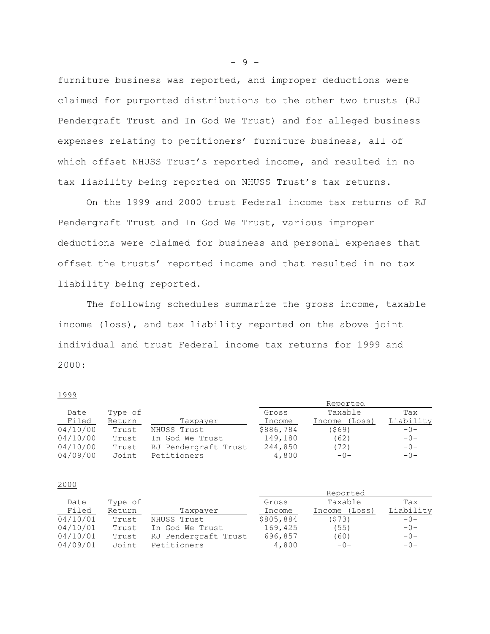furniture business was reported, and improper deductions were claimed for purported distributions to the other two trusts (RJ Pendergraft Trust and In God We Trust) and for alleged business expenses relating to petitioners' furniture business, all of which offset NHUSS Trust's reported income, and resulted in no tax liability being reported on NHUSS Trust's tax returns.

On the 1999 and 2000 trust Federal income tax returns of RJ Pendergraft Trust and In God We Trust, various improper deductions were claimed for business and personal expenses that offset the trusts' reported income and that resulted in no tax liability being reported.

The following schedules summarize the gross income, taxable income (loss), and tax liability reported on the above joint individual and trust Federal income tax returns for 1999 and 2000:

#### 1999

|          |         |                      |           | Reported         |           |
|----------|---------|----------------------|-----------|------------------|-----------|
| Date     | Type of |                      | Gross     | Taxable          | Tax       |
| Filed    | Return  | Taxpayer             | Income    | (Loss)<br>Income | Liability |
| 04/10/00 | Trust   | NHUSS Trust          | \$886,784 | (\$69)           | $-0-$     |
| 04/10/00 | Trust   | In God We Trust      | 149,180   | (62)             | $-0-$     |
| 04/10/00 | Trust   | RJ Pendergraft Trust | 244,850   | (72)             | $-0-$     |
| 04/09/00 | Joint   | Petitioners          | 4,800     | $-()$ -          | $-0-$     |

#### 2000

|          |         |                      |           | Reported         |           |
|----------|---------|----------------------|-----------|------------------|-----------|
| Date     | Type of |                      | Gross     | Taxable          | Tax       |
| Filed    | Return  | Taxpayer             | Income    | (Loss)<br>Income | Liability |
| 04/10/01 | Trust   | NHUSS Trust          | \$805,884 | (S73)            | $-0-$     |
| 04/10/01 | Trust   | In God We Trust      | 169,425   | (55)             | $-()$ -   |
| 04/10/01 | Trust   | RJ Pendergraft Trust | 696,857   | (60)             | $-0-$     |
| 04/09/01 | Joint   | Petitioners          | 4,800     | $-0-$            | $-0-$     |

- 9 -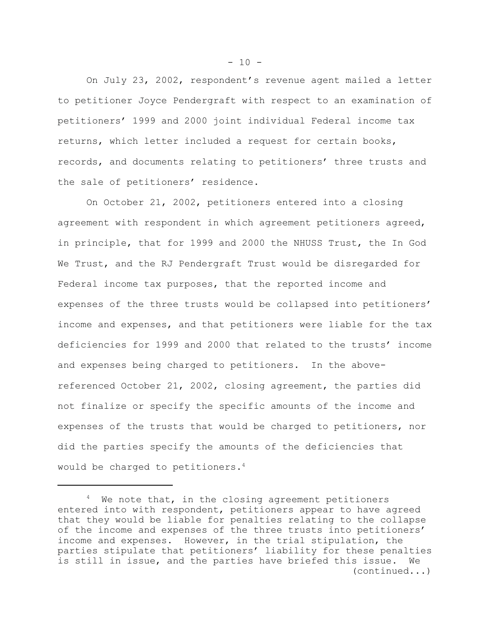On July 23, 2002, respondent's revenue agent mailed a letter to petitioner Joyce Pendergraft with respect to an examination of petitioners' 1999 and 2000 joint individual Federal income tax returns, which letter included a request for certain books, records, and documents relating to petitioners' three trusts and the sale of petitioners' residence.

On October 21, 2002, petitioners entered into a closing agreement with respondent in which agreement petitioners agreed, in principle, that for 1999 and 2000 the NHUSS Trust, the In God We Trust, and the RJ Pendergraft Trust would be disregarded for Federal income tax purposes, that the reported income and expenses of the three trusts would be collapsed into petitioners' income and expenses, and that petitioners were liable for the tax deficiencies for 1999 and 2000 that related to the trusts' income and expenses being charged to petitioners. In the abovereferenced October 21, 2002, closing agreement, the parties did not finalize or specify the specific amounts of the income and expenses of the trusts that would be charged to petitioners, nor did the parties specify the amounts of the deficiencies that would be charged to petitioners.<sup>4</sup>

 $- 10 -$ 

<sup>&</sup>lt;sup>4</sup> We note that, in the closing agreement petitioners entered into with respondent, petitioners appear to have agreed that they would be liable for penalties relating to the collapse of the income and expenses of the three trusts into petitioners' income and expenses. However, in the trial stipulation, the parties stipulate that petitioners' liability for these penalties is still in issue, and the parties have briefed this issue. We (continued...)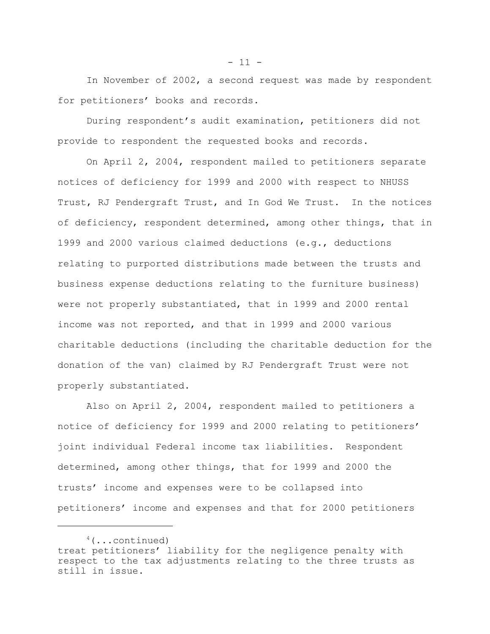In November of 2002, a second request was made by respondent for petitioners' books and records.

During respondent's audit examination, petitioners did not provide to respondent the requested books and records.

On April 2, 2004, respondent mailed to petitioners separate notices of deficiency for 1999 and 2000 with respect to NHUSS Trust, RJ Pendergraft Trust, and In God We Trust. In the notices of deficiency, respondent determined, among other things, that in 1999 and 2000 various claimed deductions (e.g., deductions relating to purported distributions made between the trusts and business expense deductions relating to the furniture business) were not properly substantiated, that in 1999 and 2000 rental income was not reported, and that in 1999 and 2000 various charitable deductions (including the charitable deduction for the donation of the van) claimed by RJ Pendergraft Trust were not properly substantiated.

Also on April 2, 2004, respondent mailed to petitioners a notice of deficiency for 1999 and 2000 relating to petitioners' joint individual Federal income tax liabilities. Respondent determined, among other things, that for 1999 and 2000 the trusts' income and expenses were to be collapsed into petitioners' income and expenses and that for 2000 petitioners

 $- 11 -$ 

 $4$  (...continued) treat petitioners' liability for the negligence penalty with respect to the tax adjustments relating to the three trusts as still in issue.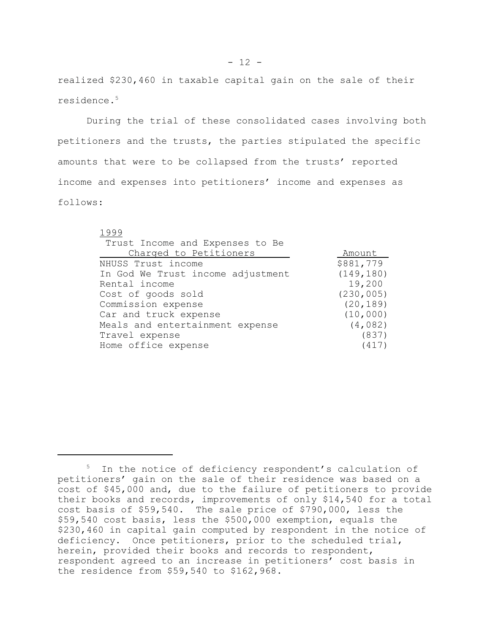realized \$230,460 in taxable capital gain on the sale of their residence.5

During the trial of these consolidated cases involving both petitioners and the trusts, the parties stipulated the specific amounts that were to be collapsed from the trusts' reported income and expenses into petitioners' income and expenses as follows:

1999

| Trust Income and Expenses to Be   |            |
|-----------------------------------|------------|
| Charged to Petitioners            | Amount     |
| NHUSS Trust income                | \$881,779  |
| In God We Trust income adjustment | (149, 180) |
| Rental income                     | 19,200     |
| Cost of goods sold                | (230, 005) |
| Commission expense                | (20, 189)  |
| Car and truck expense             | (10, 000)  |
| Meals and entertainment expense   | (4, 082)   |
| Travel expense                    | (837)      |
| Home office expense               | (417)      |

<sup>&</sup>lt;sup>5</sup> In the notice of deficiency respondent's calculation of petitioners' gain on the sale of their residence was based on a cost of \$45,000 and, due to the failure of petitioners to provide their books and records, improvements of only \$14,540 for a total cost basis of \$59,540. The sale price of \$790,000, less the \$59,540 cost basis, less the \$500,000 exemption, equals the \$230,460 in capital gain computed by respondent in the notice of deficiency. Once petitioners, prior to the scheduled trial, herein, provided their books and records to respondent, respondent agreed to an increase in petitioners' cost basis in the residence from \$59,540 to \$162,968.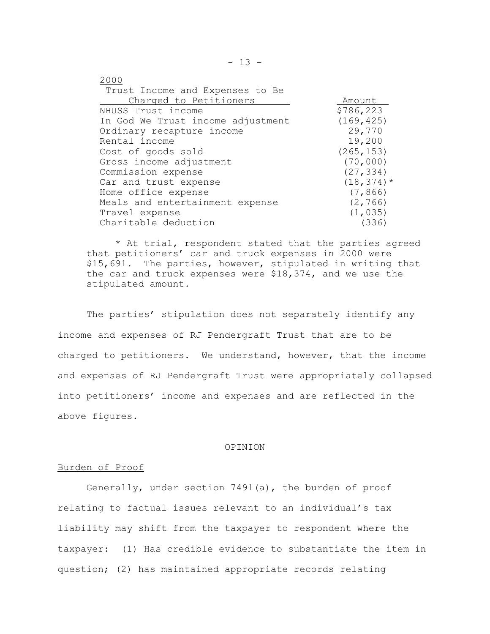| 2000                              |               |
|-----------------------------------|---------------|
| Trust Income and Expenses to Be   |               |
| Charged to Petitioners            | Amount        |
| NHUSS Trust income                | \$786,223     |
| In God We Trust income adjustment | (169, 425)    |
| Ordinary recapture income         | 29,770        |
| Rental income                     | 19,200        |
| Cost of goods sold                | (265, 153)    |
| Gross income adjustment           | (70, 000)     |
| Commission expense                | (27, 334)     |
| Car and trust expense             | $(18, 374)$ * |
| Home office expense               | (7, 866)      |
| Meals and entertainment expense   | (2, 766)      |
| Travel expense                    | (1, 035)      |
| Charitable deduction              | (336)         |

\* At trial, respondent stated that the parties agreed that petitioners' car and truck expenses in 2000 were \$15,691. The parties, however, stipulated in writing that the car and truck expenses were \$18,374, and we use the stipulated amount.

The parties' stipulation does not separately identify any income and expenses of RJ Pendergraft Trust that are to be charged to petitioners. We understand, however, that the income and expenses of RJ Pendergraft Trust were appropriately collapsed into petitioners' income and expenses and are reflected in the above figures.

#### OPINION

#### Burden of Proof

Generally, under section 7491(a), the burden of proof relating to factual issues relevant to an individual's tax liability may shift from the taxpayer to respondent where the taxpayer: (1) Has credible evidence to substantiate the item in question; (2) has maintained appropriate records relating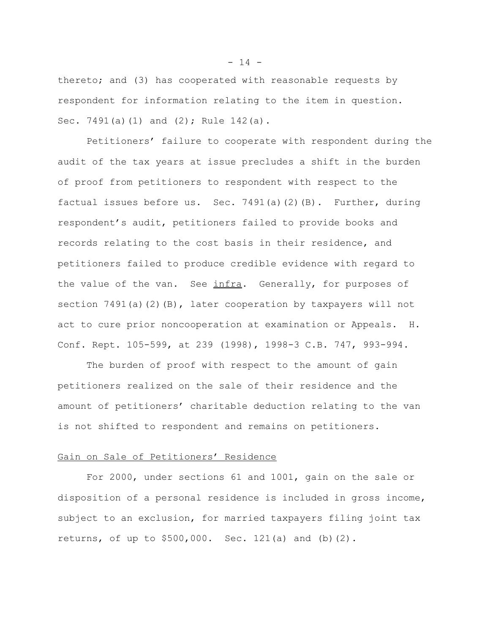thereto; and (3) has cooperated with reasonable requests by respondent for information relating to the item in question. Sec. 7491(a)(1) and (2); Rule 142(a).

Petitioners' failure to cooperate with respondent during the audit of the tax years at issue precludes a shift in the burden of proof from petitioners to respondent with respect to the factual issues before us. Sec. 7491(a)(2)(B). Further, during respondent's audit, petitioners failed to provide books and records relating to the cost basis in their residence, and petitioners failed to produce credible evidence with regard to the value of the van. See infra. Generally, for purposes of section  $7491(a)(2)(B)$ , later cooperation by taxpayers will not act to cure prior noncooperation at examination or Appeals. H. Conf. Rept. 105-599, at 239 (1998), 1998-3 C.B. 747, 993-994.

The burden of proof with respect to the amount of gain petitioners realized on the sale of their residence and the amount of petitioners' charitable deduction relating to the van is not shifted to respondent and remains on petitioners.

#### Gain on Sale of Petitioners' Residence

For 2000, under sections 61 and 1001, gain on the sale or disposition of a personal residence is included in gross income, subject to an exclusion, for married taxpayers filing joint tax returns, of up to \$500,000. Sec. 121(a) and (b)(2).

 $- 14 -$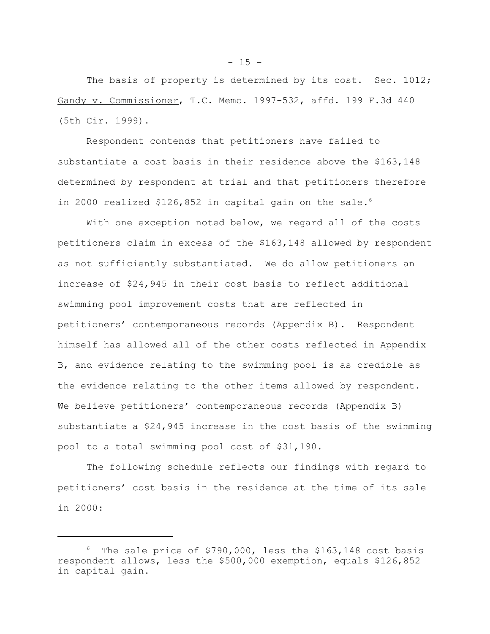The basis of property is determined by its cost. Sec. 1012; Gandy v. Commissioner, T.C. Memo. 1997-532, affd. 199 F.3d 440 (5th Cir. 1999).

Respondent contends that petitioners have failed to substantiate a cost basis in their residence above the \$163,148 determined by respondent at trial and that petitioners therefore in 2000 realized \$126,852 in capital gain on the sale.<sup>6</sup>

With one exception noted below, we regard all of the costs petitioners claim in excess of the \$163,148 allowed by respondent as not sufficiently substantiated. We do allow petitioners an increase of \$24,945 in their cost basis to reflect additional swimming pool improvement costs that are reflected in petitioners' contemporaneous records (Appendix B). Respondent himself has allowed all of the other costs reflected in Appendix B, and evidence relating to the swimming pool is as credible as the evidence relating to the other items allowed by respondent. We believe petitioners' contemporaneous records (Appendix B) substantiate a \$24,945 increase in the cost basis of the swimming pool to a total swimming pool cost of \$31,190.

The following schedule reflects our findings with regard to petitioners' cost basis in the residence at the time of its sale in 2000:

 $6$  The sale price of \$790,000, less the \$163,148 cost basis respondent allows, less the \$500,000 exemption, equals \$126,852 in capital gain.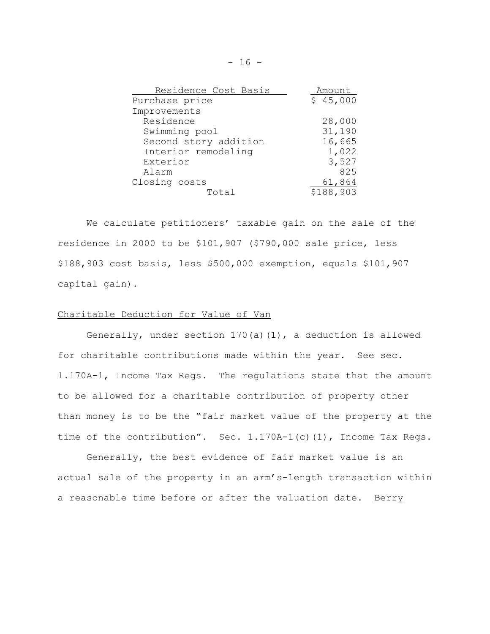| Residence Cost Basis  | Amount    |
|-----------------------|-----------|
| Purchase price        | \$45,000  |
| Improvements          |           |
| Residence             | 28,000    |
| Swimming pool         | 31,190    |
| Second story addition | 16,665    |
| Interior remodeling   | 1,022     |
| Exterior              | 3,527     |
| Alarm                 | 825       |
| Closing costs         | 61,864    |
| Total                 | \$188,903 |

We calculate petitioners' taxable gain on the sale of the residence in 2000 to be \$101,907 (\$790,000 sale price, less \$188,903 cost basis, less \$500,000 exemption, equals \$101,907 capital gain).

### Charitable Deduction for Value of Van

Generally, under section 170(a)(1), a deduction is allowed for charitable contributions made within the year. See sec. 1.170A-1, Income Tax Regs. The regulations state that the amount to be allowed for a charitable contribution of property other than money is to be the "fair market value of the property at the time of the contribution". Sec. 1.170A-1(c)(1), Income Tax Regs.

Generally, the best evidence of fair market value is an actual sale of the property in an arm's-length transaction within a reasonable time before or after the valuation date. Berry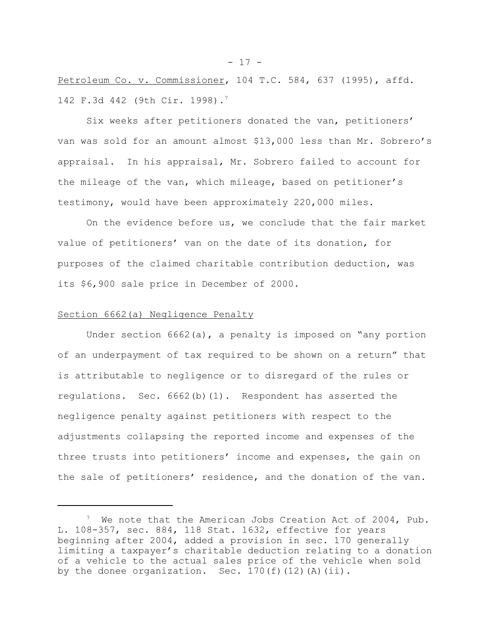Petroleum Co. v. Commissioner, 104 T.C. 584, 637 (1995), affd. 142 F.3d 442 (9th Cir. 1998).7

Six weeks after petitioners donated the van, petitioners' van was sold for an amount almost \$13,000 less than Mr. Sobrero's appraisal. In his appraisal, Mr. Sobrero failed to account for the mileage of the van, which mileage, based on petitioner's testimony, would have been approximately 220,000 miles.

On the evidence before us, we conclude that the fair market value of petitioners' van on the date of its donation, for purposes of the claimed charitable contribution deduction, was its \$6,900 sale price in December of 2000.

### Section 6662(a) Negligence Penalty

Under section 6662(a), a penalty is imposed on "any portion of an underpayment of tax required to be shown on a return" that is attributable to negligence or to disregard of the rules or regulations. Sec. 6662(b)(1). Respondent has asserted the negligence penalty against petitioners with respect to the adjustments collapsing the reported income and expenses of the three trusts into petitioners' income and expenses, the gain on the sale of petitioners' residence, and the donation of the van.

<sup>&</sup>lt;sup>7</sup> We note that the American Jobs Creation Act of 2004, Pub. L. 108-357, sec. 884, 118 Stat. 1632, effective for years beginning after 2004, added a provision in sec. 170 generally limiting a taxpayer's charitable deduction relating to a donation of a vehicle to the actual sales price of the vehicle when sold by the donee organization. Sec.  $170(f)(12)(A)(ii)$ .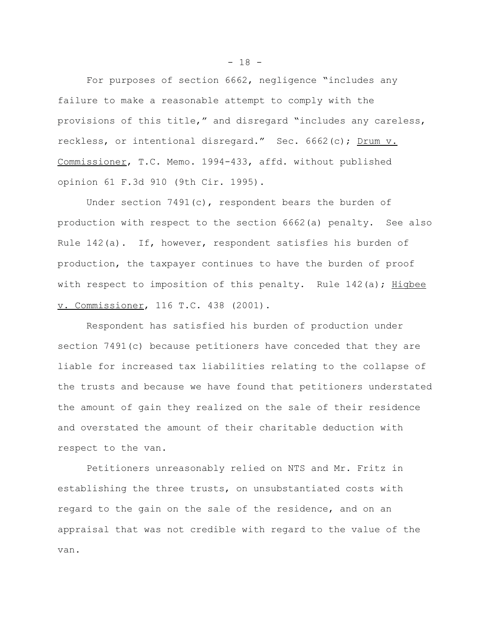For purposes of section 6662, negligence "includes any failure to make a reasonable attempt to comply with the provisions of this title," and disregard "includes any careless, reckless, or intentional disregard." Sec. 6662(c); Drum v. Commissioner, T.C. Memo. 1994-433, affd. without published opinion 61 F.3d 910 (9th Cir. 1995).

Under section 7491(c), respondent bears the burden of production with respect to the section 6662(a) penalty. See also Rule 142(a). If, however, respondent satisfies his burden of production, the taxpayer continues to have the burden of proof with respect to imposition of this penalty. Rule  $142(a)$ ; Higbee v. Commissioner, 116 T.C. 438 (2001).

Respondent has satisfied his burden of production under section 7491(c) because petitioners have conceded that they are liable for increased tax liabilities relating to the collapse of the trusts and because we have found that petitioners understated the amount of gain they realized on the sale of their residence and overstated the amount of their charitable deduction with respect to the van.

Petitioners unreasonably relied on NTS and Mr. Fritz in establishing the three trusts, on unsubstantiated costs with regard to the gain on the sale of the residence, and on an appraisal that was not credible with regard to the value of the van.

 $- 18 -$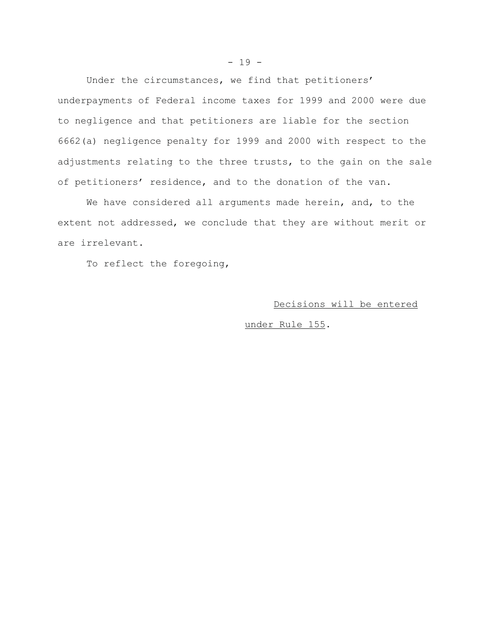Under the circumstances, we find that petitioners' underpayments of Federal income taxes for 1999 and 2000 were due to negligence and that petitioners are liable for the section 6662(a) negligence penalty for 1999 and 2000 with respect to the adjustments relating to the three trusts, to the gain on the sale of petitioners' residence, and to the donation of the van.

We have considered all arguments made herein, and, to the extent not addressed, we conclude that they are without merit or are irrelevant.

To reflect the foregoing,

## Decisions will be entered

under Rule 155.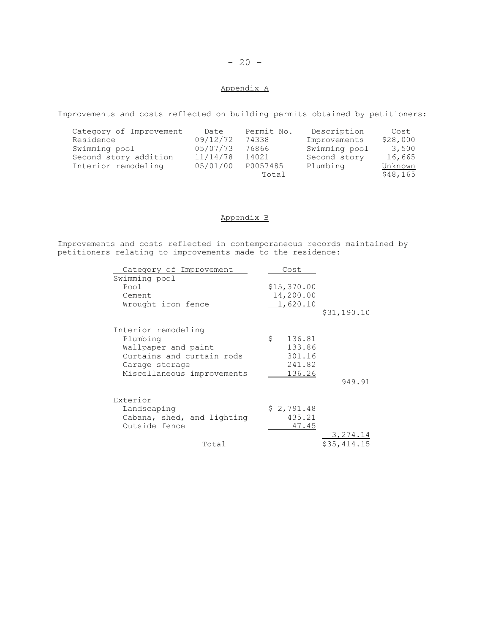## $- 20 -$

## Appendix A

Improvements and costs reflected on building permits obtained by petitioners:

| Category of Improvement | Date     | Permit No. | Description   | Cost     |
|-------------------------|----------|------------|---------------|----------|
| Residence               | 09/12/72 | 74338      | Improvements  | \$28,000 |
| Swimming pool           | 05/07/73 | 76866      | Swimming pool | 3,500    |
| Second story addition   | 11/14/78 | 14021      | Second story  | 16,665   |
| Interior remodeling     | 05/01/00 | P0057485   | Plumbing      | Unknown  |
|                         |          | Total      |               | \$48,165 |

### Appendix B

Improvements and costs reflected in contemporaneous records maintained by petitioners relating to improvements made to the residence:

| Category of Improvement                                                                                                             | Cost                                                 |             |
|-------------------------------------------------------------------------------------------------------------------------------------|------------------------------------------------------|-------------|
| Swimming pool<br>Pool<br>Cement.<br>Wrought iron fence                                                                              | \$15,370.00<br>14,200.00<br>1,620.10                 | \$31,190.10 |
| Interior remodeling<br>Plumbing<br>Wallpaper and paint<br>Curtains and curtain rods<br>Garage storage<br>Miscellaneous improvements | \$<br>136.81<br>133.86<br>301.16<br>241.82<br>136.26 | 949.91      |
| Exterior<br>Landscaping<br>Cabana, shed, and lighting<br>Outside fence                                                              | \$2,791.48<br>435.21<br>47.45                        | 3,274.14    |
| Total                                                                                                                               |                                                      | \$35,414.15 |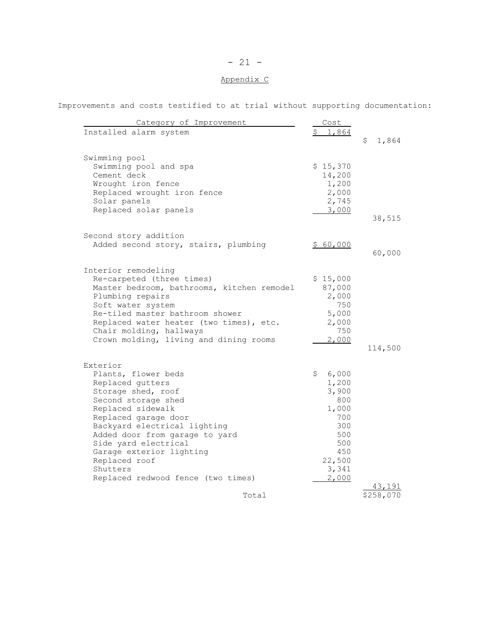# - 21 -

# Appendix C

Improvements and costs testified to at trial without supporting documentation:

| Category of Improvement                                | Cost        |             |
|--------------------------------------------------------|-------------|-------------|
| Installed alarm system                                 | 1,864       |             |
|                                                        |             | \$<br>1,864 |
| Swimming pool                                          |             |             |
| Swimming pool and spa                                  | \$15,370    |             |
| Cement deck                                            | 14,200      |             |
| Wrought iron fence                                     | 1,200       |             |
| Replaced wrought iron fence                            | 2,000       |             |
| Solar panels                                           | 2,745       |             |
| Replaced solar panels                                  | 3,000       |             |
|                                                        |             | 38,515      |
| Second story addition                                  |             |             |
| Added second story, stairs, plumbing                   | \$60,000    |             |
|                                                        |             | 60,000      |
| Interior remodeling                                    |             |             |
| Re-carpeted (three times)                              | \$15,000    |             |
| Master bedroom, bathrooms, kitchen remodel             | 87,000      |             |
| Plumbing repairs                                       | 2,000       |             |
| Soft water system                                      | 750         |             |
| Re-tiled master bathroom shower                        | 5,000       |             |
| Replaced water heater (two times), etc.                | 2,000       |             |
| Chair molding, hallways                                | 750         |             |
| Crown molding, living and dining rooms                 | 2,000       |             |
|                                                        |             | 114,500     |
| Exterior                                               |             |             |
| Plants, flower beds                                    | 6,000<br>\$ |             |
| Replaced gutters                                       | 1,200       |             |
| Storage shed, roof                                     | 3,900       |             |
| Second storage shed                                    | 800         |             |
| Replaced sidewalk                                      | 1,000       |             |
| Replaced garage door                                   | 700         |             |
| Backyard electrical lighting                           | 300         |             |
| Added door from garage to yard<br>Side yard electrical | 500<br>500  |             |
| Garage exterior lighting                               | 450         |             |
| Replaced roof                                          | 22,500      |             |
| Shutters                                               | 3,341       |             |
| Replaced redwood fence (two times)                     | 2,000       |             |
|                                                        |             |             |
| Total                                                  |             | \$258,070   |